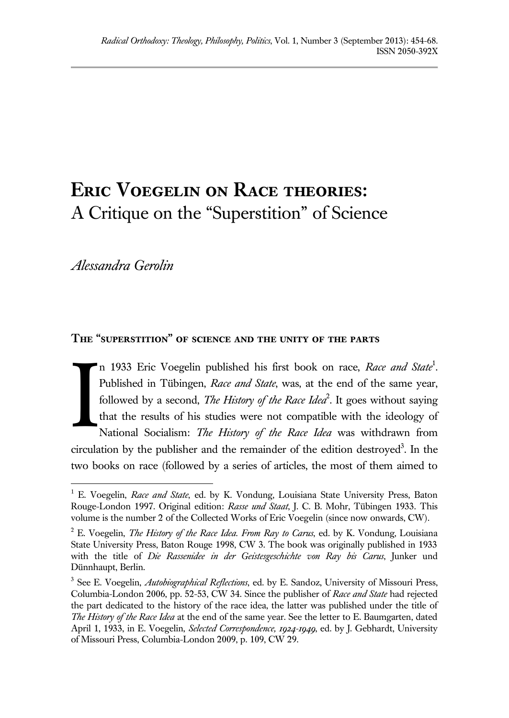# **Eric Voegelin on Race theories:** A Critique on the "Superstition" of Science

*Alessandra Gerolin*

## **The "superstition" of science and the unity of the parts**

n 1933 Eric Voegelin published his first book on race, *Race and State*<sup>1</sup> *.* Published in Tübingen, *Race and State*, was, at the end of the same year, followed by a second, *The History of the Race Idea*<sup>2</sup>. It goes without saying that the results of his studies were not compatible with the ideology of National Socialism: *The History of the Race Idea* was withdrawn from circulation by the publisher and the remainder of the edition destroyed<sup>3</sup>. In the two books on race (followed by a series of articles, the most of them aimed to I

 $\overline{a}$ <sup>1</sup> E. Voegelin, *Race and State*, ed. by K. Vondung, Louisiana State University Press, Baton Rouge-London 1997. Original edition: *Rasse und Staat*, J. C. B. Mohr, Tübingen 1933. This volume is the number 2 of the Collected Works of Eric Voegelin (since now onwards, CW).

<sup>2</sup> E. Voegelin, *The History of the Race Idea. From Ray to Carus*, ed. by K. Vondung, Louisiana State University Press, Baton Rouge 1998, CW 3. The book was originally published in 1933 with the title of *Die Rassenidee in der Geistesgeschichte von Ray bis Carus*, Junker und Dünnhaupt, Berlin.

<sup>3</sup> See E. Voegelin, *Autobiographical Reflections*, ed. by E. Sandoz, University of Missouri Press, Columbia-London 2006, pp. 52-53, CW 34. Since the publisher of *Race and State* had rejected the part dedicated to the history of the race idea, the latter was published under the title of *The History of the Race Idea* at the end of the same year. See the letter to E. Baumgarten, dated April 1, 1933, in E. Voegelin, *Selected Correspondence, 1924-1949*, ed. by J. Gebhardt, University of Missouri Press, Columbia-London 2009, p. 109, CW 29.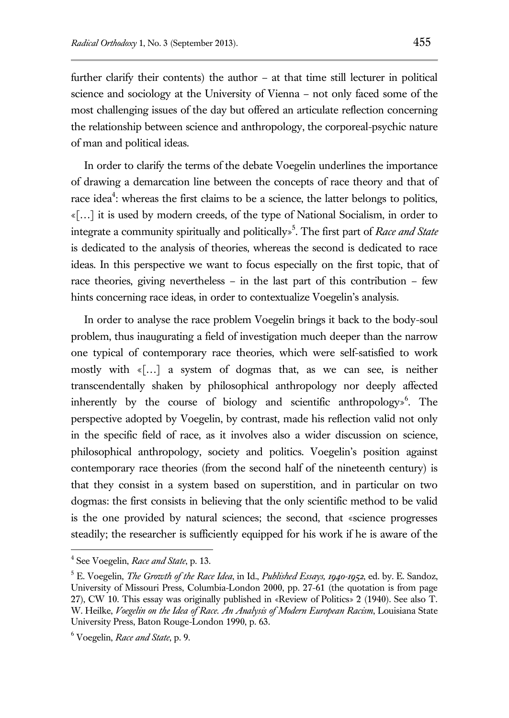further clarify their contents) the author – at that time still lecturer in political science and sociology at the University of Vienna – not only faced some of the most challenging issues of the day but offered an articulate reflection concerning the relationship between science and anthropology, the corporeal-psychic nature of man and political ideas.

In order to clarify the terms of the debate Voegelin underlines the importance of drawing a demarcation line between the concepts of race theory and that of race idea<sup>4</sup>: whereas the first claims to be a science, the latter belongs to politics, «[…] it is used by modern creeds, of the type of National Socialism, in order to integrate a community spiritually and politically»<sup>5</sup> . The first part of *Race and State* is dedicated to the analysis of theories, whereas the second is dedicated to race ideas. In this perspective we want to focus especially on the first topic, that of race theories, giving nevertheless – in the last part of this contribution – few hints concerning race ideas, in order to contextualize Voegelin's analysis.

In order to analyse the race problem Voegelin brings it back to the body-soul problem, thus inaugurating a field of investigation much deeper than the narrow one typical of contemporary race theories, which were self-satisfied to work mostly with «[…] a system of dogmas that, as we can see, is neither transcendentally shaken by philosophical anthropology nor deeply affected inherently by the course of biology and scientific anthropology»<sup>6</sup>. The perspective adopted by Voegelin, by contrast, made his reflection valid not only in the specific field of race, as it involves also a wider discussion on science, philosophical anthropology, society and politics. Voegelin's position against contemporary race theories (from the second half of the nineteenth century) is that they consist in a system based on superstition, and in particular on two dogmas: the first consists in believing that the only scientific method to be valid is the one provided by natural sciences; the second, that «science progresses steadily; the researcher is sufficiently equipped for his work if he is aware of the

 4 See Voegelin, *Race and State*, p. 13.

<sup>5</sup> E. Voegelin, *The Growth of the Race Idea*, in Id., *Published Essays, 1940-1952*, ed. by. E. Sandoz, University of Missouri Press, Columbia-London 2000, pp. 27-61 (the quotation is from page 27), CW 10. This essay was originally published in «Review of Politics» 2 (1940). See also T. W. Heilke, *Voegelin on the Idea of Race. An Analysis of Modern European Racism*, Louisiana State University Press, Baton Rouge-London 1990, p. 63.

<sup>6</sup> Voegelin, *Race and State*, p. 9.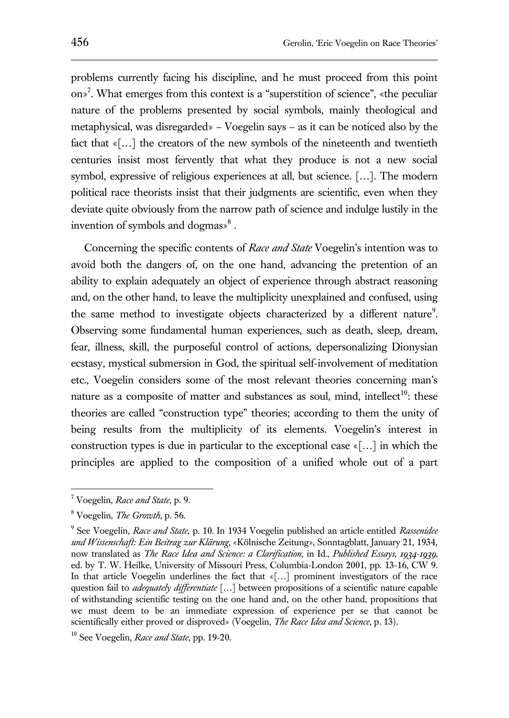problems currently facing his discipline, and he must proceed from this point on»<sup>7</sup> . What emerges from this context is a "superstition of science", «the peculiar nature of the problems presented by social symbols, mainly theological and metaphysical, was disregarded» – Voegelin says – as it can be noticed also by the fact that «[…] the creators of the new symbols of the nineteenth and twentieth centuries insist most fervently that what they produce is not a new social symbol, expressive of religious experiences at all, but science. [...]. The modern political race theorists insist that their judgments are scientific, even when they deviate quite obviously from the narrow path of science and indulge lustily in the invention of symbols and dogmas»<sup>8</sup>.

Concerning the specific contents of *Race and State* Voegelin's intention was to avoid both the dangers of, on the one hand, advancing the pretention of an ability to explain adequately an object of experience through abstract reasoning and, on the other hand, to leave the multiplicity unexplained and confused, using the same method to investigate objects characterized by a different nature<sup>9</sup>. Observing some fundamental human experiences, such as death, sleep, dream, fear, illness, skill, the purposeful control of actions, depersonalizing Dionysian ecstasy, mystical submersion in God, the spiritual self-involvement of meditation etc., Voegelin considers some of the most relevant theories concerning man's nature as a composite of matter and substances as soul, mind, intellect<sup>10</sup>: these theories are called "construction type" theories; according to them the unity of being results from the multiplicity of its elements. Voegelin's interest in construction types is due in particular to the exceptional case «[…] in which the principles are applied to the composition of a unified whole out of a part

<sup>7</sup> Voegelin, *Race and State*, p. 9.

<sup>8</sup> Voegelin, *The Growth*, p. 56.

<sup>9</sup> See Voegelin, *Race and State*, p. 10. In 1934 Voegelin published an article entitled *Rassenidee und Wissenschaft: Ein Beitrag zur Klärung*, «Kölnische Zeitung», Sonntagblatt, January 21, 1934, now translated as *The Race Idea and Science: a Clarification*, in Id., *Published Essays, 1934-1939*, ed. by T. W. Heilke, University of Missouri Press, Columbia-London 2001, pp. 13-16, CW 9. In that article Voegelin underlines the fact that «[…] prominent investigators of the race question fail to *adequately differentiate* […] between propositions of a scientific nature capable of withstanding scientific testing on the one hand and, on the other hand, propositions that we must deem to be an immediate expression of experience per se that cannot be scientifically either proved or disproved» (Voegelin, *The Race Idea and Science*, p. 13).

<sup>10</sup> See Voegelin, *Race and State*, pp. 19-20.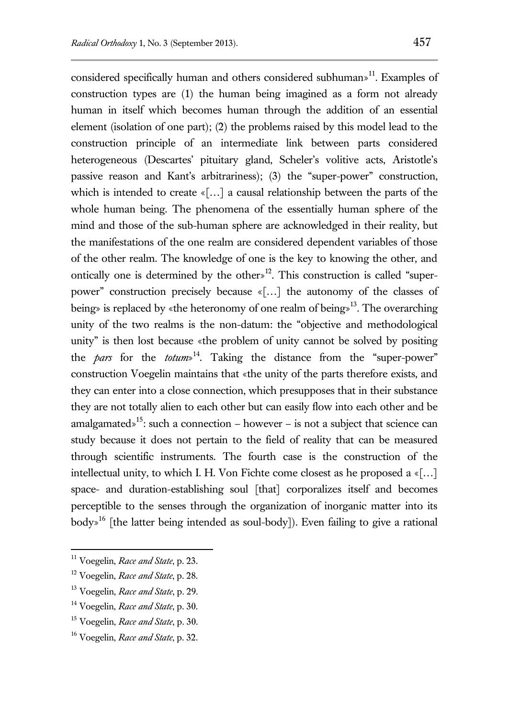considered specifically human and others considered subhuman»<sup>11</sup>. Examples of construction types are (1) the human being imagined as a form not already human in itself which becomes human through the addition of an essential element (isolation of one part); (2) the problems raised by this model lead to the construction principle of an intermediate link between parts considered heterogeneous (Descartes' pituitary gland, Scheler's volitive acts, Aristotle's passive reason and Kant's arbitrariness); (3) the "super-power" construction, which is intended to create «[...] a causal relationship between the parts of the whole human being. The phenomena of the essentially human sphere of the mind and those of the sub-human sphere are acknowledged in their reality, but the manifestations of the one realm are considered dependent variables of those of the other realm. The knowledge of one is the key to knowing the other, and ontically one is determined by the other»<sup>12</sup>. This construction is called "superpower" construction precisely because «[…] the autonomy of the classes of being» is replaced by «the heteronomy of one realm of being»<sup>13</sup>. The overarching unity of the two realms is the non-datum: the "objective and methodological unity" is then lost because «the problem of unity cannot be solved by positing the *pars* for the *totum*» <sup>14</sup>. Taking the distance from the "super-power" construction Voegelin maintains that «the unity of the parts therefore exists, and they can enter into a close connection, which presupposes that in their substance they are not totally alien to each other but can easily flow into each other and be amalgamated»<sup>15</sup>: such a connection – however – is not a subject that science can study because it does not pertain to the field of reality that can be measured through scientific instruments. The fourth case is the construction of the intellectual unity, to which I. H. Von Fichte come closest as he proposed a «[…] space- and duration-establishing soul [that] corporalizes itself and becomes perceptible to the senses through the organization of inorganic matter into its  $body<sup>16</sup>$  [the latter being intended as soul-body]). Even failing to give a rational

<sup>11</sup> Voegelin, *Race and State*, p. 23.

<sup>12</sup> Voegelin, *Race and State*, p. 28.

<sup>13</sup> Voegelin, *Race and State*, p. 29.

<sup>14</sup> Voegelin, *Race and State*, p. 30.

<sup>15</sup> Voegelin, *Race and State*, p. 30.

<sup>16</sup> Voegelin, *Race and State*, p. 32.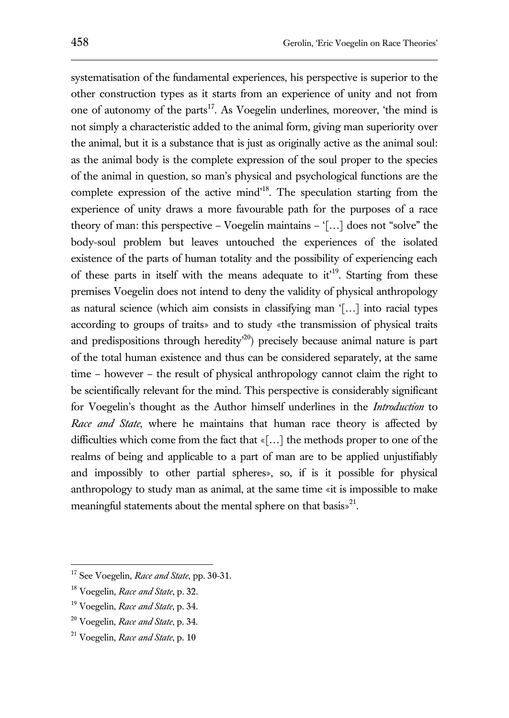systematisation of the fundamental experiences, his perspective is superior to the other construction types as it starts from an experience of unity and not from one of autonomy of the parts<sup>17</sup>. As Voegelin underlines, moreover, 'the mind is not simply a characteristic added to the animal form, giving man superiority over the animal, but it is a substance that is just as originally active as the animal soul: as the animal body is the complete expression of the soul proper to the species of the animal in question, so man's physical and psychological functions are the complete expression of the active mind'<sup>18</sup>. The speculation starting from the experience of unity draws a more favourable path for the purposes of a race theory of man: this perspective – Voegelin maintains – '[…] does not "solve" the body-soul problem but leaves untouched the experiences of the isolated existence of the parts of human totality and the possibility of experiencing each of these parts in itself with the means adequate to  $it<sup>19</sup>$ . Starting from these

premises Voegelin does not intend to deny the validity of physical anthropology as natural science (which aim consists in classifying man '[…] into racial types according to groups of traits» and to study «the transmission of physical traits and predispositions through heredity' <sup>20</sup>) precisely because animal nature is part of the total human existence and thus can be considered separately, at the same time – however – the result of physical anthropology cannot claim the right to be scientifically relevant for the mind. This perspective is considerably significant for Voegelin's thought as the Author himself underlines in the *Introduction* to *Race and State*, where he maintains that human race theory is affected by difficulties which come from the fact that «[…] the methods proper to one of the realms of being and applicable to a part of man are to be applied unjustifiably and impossibly to other partial spheres», so, if is it possible for physical anthropology to study man as animal, at the same time «it is impossible to make meaningful statements about the mental sphere on that basis»<sup>21</sup>.

<sup>17</sup> See Voegelin, *Race and State*, pp. 30-31.

<sup>18</sup> Voegelin, *Race and State*, p. 32.

<sup>19</sup> Voegelin, *Race and State*, p. 34.

<sup>20</sup> Voegelin, *Race and State*, p. 34.

<sup>21</sup> Voegelin, *Race and State*, p. 10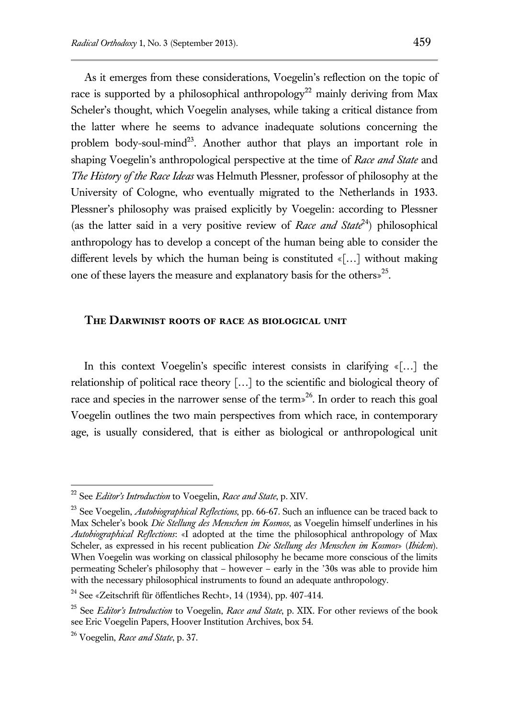As it emerges from these considerations, Voegelin's reflection on the topic of race is supported by a philosophical anthropology<sup>22</sup> mainly deriving from Max Scheler's thought, which Voegelin analyses, while taking a critical distance from the latter where he seems to advance inadequate solutions concerning the problem body-soul-mind<sup>23</sup>. Another author that plays an important role in shaping Voegelin's anthropological perspective at the time of *Race and State* and *The History of the Race Ideas* was Helmuth Plessner, professor of philosophy at the University of Cologne, who eventually migrated to the Netherlands in 1933. Plessner's philosophy was praised explicitly by Voegelin: according to Plessner (as the latter said in a very positive review of *Race and State*<sup>24</sup>) philosophical anthropology has to develop a concept of the human being able to consider the different levels by which the human being is constituted «[…] without making one of these layers the measure and explanatory basis for the others<sup>25</sup>.

#### **The Darwinist roots of race as biological unit**

In this context Voegelin's specific interest consists in clarifying «[...] the relationship of political race theory […] to the scientific and biological theory of race and species in the narrower sense of the term»<sup>26</sup>. In order to reach this goal Voegelin outlines the two main perspectives from which race, in contemporary age, is usually considered, that is either as biological or anthropological unit

<sup>22</sup> See *Editor's Introduction* to Voegelin, *Race and State*, p. XIV.

<sup>23</sup> See Voegelin, *Autobiographical Reflections*, pp. 66-67. Such an influence can be traced back to Max Scheler's book *Die Stellung des Menschen im Kosmos*, as Voegelin himself underlines in his *Autobiographical Reflections*: «I adopted at the time the philosophical anthropology of Max Scheler, as expressed in his recent publication *Die Stellung des Menschen im Kosmos*» (*Ibidem*). When Voegelin was working on classical philosophy he became more conscious of the limits permeating Scheler's philosophy that – however – early in the '30s was able to provide him with the necessary philosophical instruments to found an adequate anthropology.

<sup>24</sup> See «Zeitschrift für öffentliches Recht», 14 (1934), pp. 407-414.

<sup>25</sup> See *Editor's Introduction* to Voegelin, *Race and State*, p. XIX. For other reviews of the book see Eric Voegelin Papers, Hoover Institution Archives, box 54.

<sup>26</sup> Voegelin, *Race and State*, p. 37.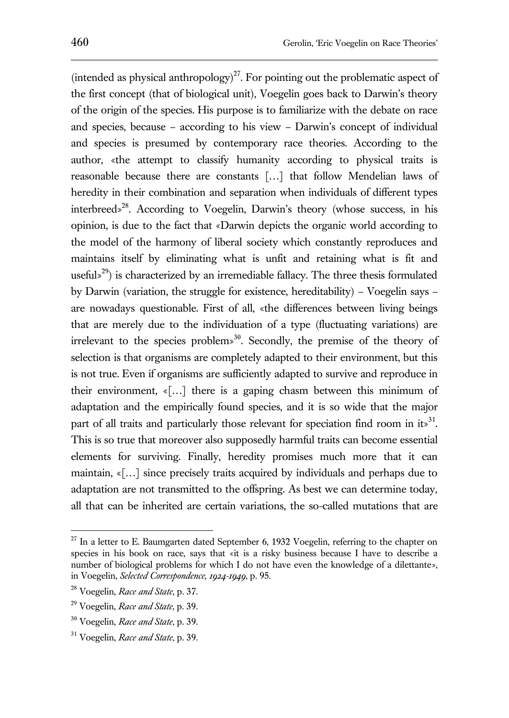(intended as physical anthropology)<sup>27</sup>. For pointing out the problematic aspect of the first concept (that of biological unit), Voegelin goes back to Darwin's theory of the origin of the species. His purpose is to familiarize with the debate on race and species, because – according to his view – Darwin's concept of individual and species is presumed by contemporary race theories. According to the author, «the attempt to classify humanity according to physical traits is reasonable because there are constants […] that follow Mendelian laws of heredity in their combination and separation when individuals of different types interbreed»<sup>28</sup>. According to Voegelin, Darwin's theory (whose success, in his opinion, is due to the fact that «Darwin depicts the organic world according to the model of the harmony of liberal society which constantly reproduces and maintains itself by eliminating what is unfit and retaining what is fit and useful»<sup>29</sup>) is characterized by an irremediable fallacy. The three thesis formulated by Darwin (variation, the struggle for existence, hereditability) – Voegelin says – are nowadays questionable. First of all, «the differences between living beings that are merely due to the individuation of a type (fluctuating variations) are irrelevant to the species problem» $30$ . Secondly, the premise of the theory of selection is that organisms are completely adapted to their environment, but this is not true. Even if organisms are sufficiently adapted to survive and reproduce in their environment, «[…] there is a gaping chasm between this minimum of adaptation and the empirically found species, and it is so wide that the major part of all traits and particularly those relevant for speciation find room in it.<sup>31</sup>. This is so true that moreover also supposedly harmful traits can become essential elements for surviving. Finally, heredity promises much more that it can maintain, «[…] since precisely traits acquired by individuals and perhaps due to adaptation are not transmitted to the offspring. As best we can determine today, all that can be inherited are certain variations, the so-called mutations that are

 $27$  In a letter to E. Baumgarten dated September 6, 1932 Voegelin, referring to the chapter on species in his book on race, says that «it is a risky business because I have to describe a number of biological problems for which I do not have even the knowledge of a dilettante», in Voegelin, *Selected Correspondence, 1924-1949*, p. 95.

<sup>28</sup> Voegelin, *Race and State*, p. 37.

<sup>29</sup> Voegelin, *Race and State*, p. 39.

<sup>30</sup> Voegelin, *Race and State*, p. 39.

<sup>31</sup> Voegelin, *Race and State*, p. 39.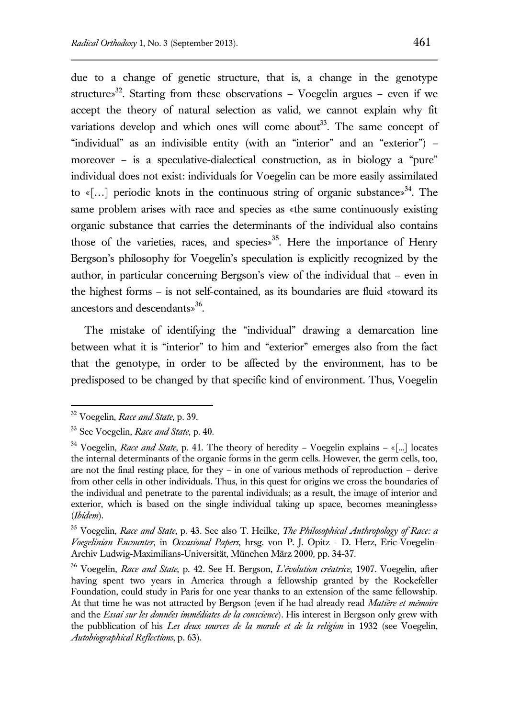due to a change of genetic structure, that is, a change in the genotype structure»<sup>32</sup>. Starting from these observations – Voegelin argues – even if we accept the theory of natural selection as valid, we cannot explain why fit variations develop and which ones will come about<sup>33</sup>. The same concept of "individual" as an indivisible entity (with an "interior" and an "exterior") – moreover – is a speculative-dialectical construction, as in biology a "pure" individual does not exist: individuals for Voegelin can be more easily assimilated to «[...] periodic knots in the continuous string of organic substances<sup>34</sup>. The same problem arises with race and species as «the same continuously existing organic substance that carries the determinants of the individual also contains those of the varieties, races, and species»<sup>35</sup>. Here the importance of Henry Bergson's philosophy for Voegelin's speculation is explicitly recognized by the author, in particular concerning Bergson's view of the individual that – even in the highest forms – is not self-contained, as its boundaries are fluid «toward its ancestors and descendants»<sup>36</sup>.

The mistake of identifying the "individual" drawing a demarcation line between what it is "interior" to him and "exterior" emerges also from the fact that the genotype, in order to be affected by the environment, has to be predisposed to be changed by that specific kind of environment. Thus, Voegelin

<sup>32</sup> Voegelin, *Race and State*, p. 39.

<sup>33</sup> See Voegelin, *Race and State*, p. 40.

<sup>34</sup> Voegelin, *Race and State*, p. 41. The theory of heredity – Voegelin explains – «[...] locates the internal determinants of the organic forms in the germ cells. However, the germ cells, too, are not the final resting place, for they – in one of various methods of reproduction – derive from other cells in other individuals. Thus, in this quest for origins we cross the boundaries of the individual and penetrate to the parental individuals; as a result, the image of interior and exterior, which is based on the single individual taking up space, becomes meaningless» (*Ibidem*).

<sup>35</sup> Voegelin, *Race and State*, p. 43. See also T. Heilke, *The Philosophical Anthropology of Race: a Voegelinian Encounter*, in *Occasional Papers*, hrsg. von P. J. Opitz - D. Herz, Eric-Voegelin-Archiv Ludwig-Maximilians-Universität, München März 2000, pp. 34-37.

<sup>36</sup> Voegelin, *Race and State*, p. 42. See H. Bergson, *L'évolution créatrice*, 1907. Voegelin, after having spent two years in America through a fellowship granted by the Rockefeller Foundation, could study in Paris for one year thanks to an extension of the same fellowship. At that time he was not attracted by Bergson (even if he had already read *Matière et mémoire* and the *Essai sur les données immédiates de la conscience*). His interest in Bergson only grew with the pubblication of his *Les deux sources de la morale et de la religion* in 1932 (see Voegelin, *Autobiographical Reflections*, p. 63).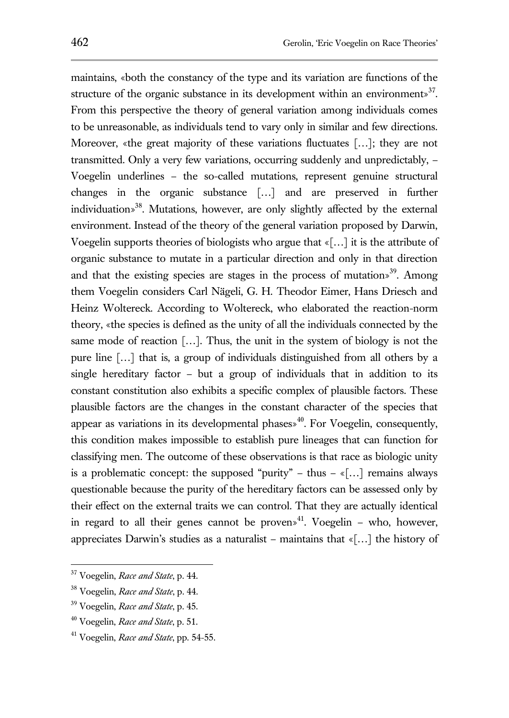maintains, «both the constancy of the type and its variation are functions of the structure of the organic substance in its development within an environment»<sup>37</sup>. From this perspective the theory of general variation among individuals comes to be unreasonable, as individuals tend to vary only in similar and few directions. Moreover, «the great majority of these variations fluctuates […]; they are not transmitted. Only a very few variations, occurring suddenly and unpredictably, – Voegelin underlines – the so-called mutations, represent genuine structural changes in the organic substance […] and are preserved in further individuation»<sup>38</sup>. Mutations, however, are only slightly affected by the external environment. Instead of the theory of the general variation proposed by Darwin, Voegelin supports theories of biologists who argue that «[…] it is the attribute of organic substance to mutate in a particular direction and only in that direction and that the existing species are stages in the process of mutations<sup>39</sup>. Among them Voegelin considers Carl Nägeli, G. H. Theodor Eimer, Hans Driesch and Heinz Woltereck. According to Woltereck, who elaborated the reaction-norm theory, «the species is defined as the unity of all the individuals connected by the same mode of reaction […]. Thus, the unit in the system of biology is not the pure line […] that is, a group of individuals distinguished from all others by a single hereditary factor – but a group of individuals that in addition to its constant constitution also exhibits a specific complex of plausible factors. These plausible factors are the changes in the constant character of the species that appear as variations in its developmental phases $*$ <sup>40</sup>. For Voegelin, consequently, this condition makes impossible to establish pure lineages that can function for classifying men. The outcome of these observations is that race as biologic unity is a problematic concept: the supposed "purity" – thus  $-\infty$ [...] remains always questionable because the purity of the hereditary factors can be assessed only by their effect on the external traits we can control. That they are actually identical in regard to all their genes cannot be proven<sup> $41$ </sup>. Voegelin – who, however,

appreciates Darwin's studies as a naturalist – maintains that  $\langle \dots |$  the history of

<sup>37</sup> Voegelin, *Race and State*, p. 44.

<sup>38</sup> Voegelin, *Race and State*, p. 44.

<sup>39</sup> Voegelin, *Race and State*, p. 45.

<sup>40</sup> Voegelin, *Race and State*, p. 51.

<sup>41</sup> Voegelin, *Race and State*, pp. 54-55.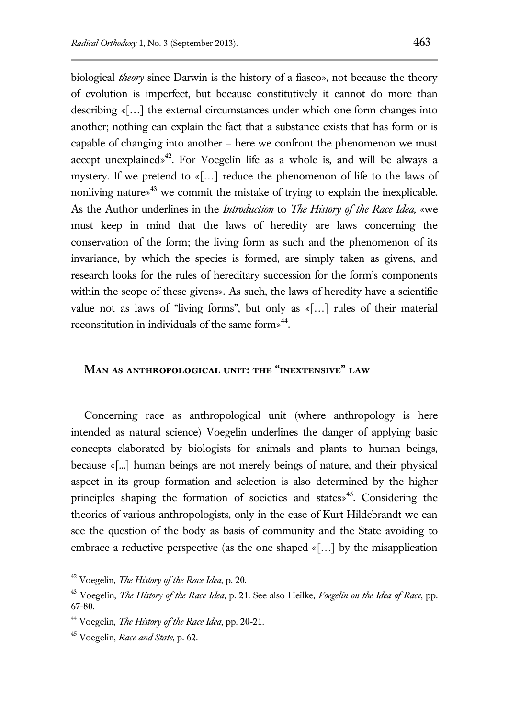biological *theory* since Darwin is the history of a fiasco», not because the theory of evolution is imperfect, but because constitutively it cannot do more than describing «[…] the external circumstances under which one form changes into another; nothing can explain the fact that a substance exists that has form or is capable of changing into another – here we confront the phenomenon we must accept unexplained»<sup>42</sup>. For Voegelin life as a whole is, and will be always a mystery. If we pretend to «[…] reduce the phenomenon of life to the laws of nonliving nature»<sup> $43$ </sup> we commit the mistake of trying to explain the inexplicable. As the Author underlines in the *Introduction* to *The History of the Race Idea*, «we must keep in mind that the laws of heredity are laws concerning the conservation of the form; the living form as such and the phenomenon of its invariance, by which the species is formed, are simply taken as givens, and research looks for the rules of hereditary succession for the form's components within the scope of these givens». As such, the laws of heredity have a scientific value not as laws of "living forms", but only as «[…] rules of their material reconstitution in individuals of the same form $\frac{1}{4}$ .

### **Man as anthropological unit: the "inextensive" law**

Concerning race as anthropological unit (where anthropology is here intended as natural science) Voegelin underlines the danger of applying basic concepts elaborated by biologists for animals and plants to human beings, because «[...] human beings are not merely beings of nature, and their physical aspect in its group formation and selection is also determined by the higher principles shaping the formation of societies and states»<sup>45</sup>. Considering the theories of various anthropologists, only in the case of Kurt Hildebrandt we can see the question of the body as basis of community and the State avoiding to embrace a reductive perspective (as the one shaped «[…] by the misapplication

<sup>42</sup> Voegelin, *The History of the Race Idea*, p. 20.

<sup>43</sup> Voegelin, *The History of the Race Idea*, p. 21. See also Heilke, *Voegelin on the Idea of Race*, pp. 67-80.

<sup>44</sup> Voegelin, *The History of the Race Idea*, pp. 20-21.

<sup>45</sup> Voegelin, *Race and State*, p. 62.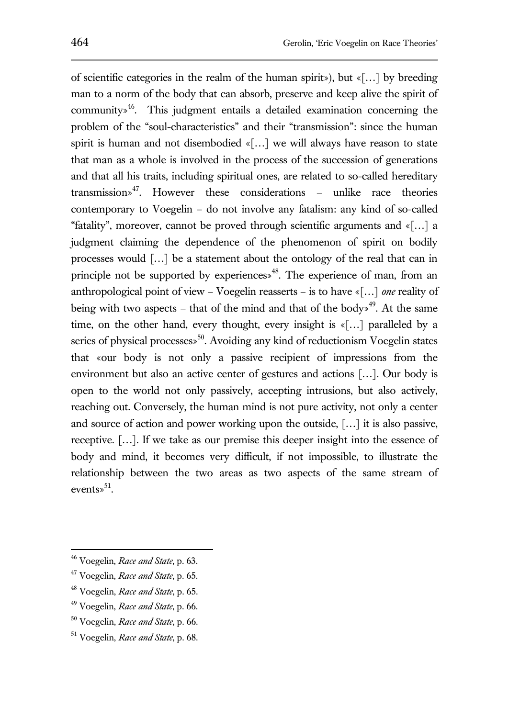of scientific categories in the realm of the human spirit»), but  $\kappa$ [...] by breeding man to a norm of the body that can absorb, preserve and keep alive the spirit of community $\mathcal{L}^4$ <sup>46</sup>. This judgment entails a detailed examination concerning the problem of the "soul-characteristics" and their "transmission": since the human spirit is human and not disembodied «[…] we will always have reason to state that man as a whole is involved in the process of the succession of generations and that all his traits, including spiritual ones, are related to so-called hereditary  $transmission*<sup>47</sup>$ . However these considerations – unlike race theories contemporary to Voegelin – do not involve any fatalism: any kind of so-called "fatality", moreover, cannot be proved through scientific arguments and «[…] a judgment claiming the dependence of the phenomenon of spirit on bodily processes would […] be a statement about the ontology of the real that can in principle not be supported by experiences $\delta^{48}$ . The experience of man, from an anthropological point of view – Voegelin reasserts – is to have «[…] *one* reality of being with two aspects – that of the mind and that of the body $\frac{1}{2}$ . At the same time, on the other hand, every thought, every insight is «[…] paralleled by a series of physical processes<sup>50</sup>. Avoiding any kind of reductionism Voegelin states that «our body is not only a passive recipient of impressions from the environment but also an active center of gestures and actions […]. Our body is open to the world not only passively, accepting intrusions, but also actively, reaching out. Conversely, the human mind is not pure activity, not only a center and source of action and power working upon the outside, […] it is also passive, receptive. […]. If we take as our premise this deeper insight into the essence of body and mind, it becomes very difficult, if not impossible, to illustrate the relationship between the two areas as two aspects of the same stream of

 $\overline{a}$ 

<sup>49</sup> Voegelin, *Race and State*, p. 66.

events» $^{51}$ .

<sup>46</sup> Voegelin, *Race and State*, p. 63.

<sup>47</sup> Voegelin, *Race and State*, p. 65.

<sup>48</sup> Voegelin, *Race and State*, p. 65.

<sup>50</sup> Voegelin, *Race and State*, p. 66.

<sup>51</sup> Voegelin, *Race and State*, p. 68.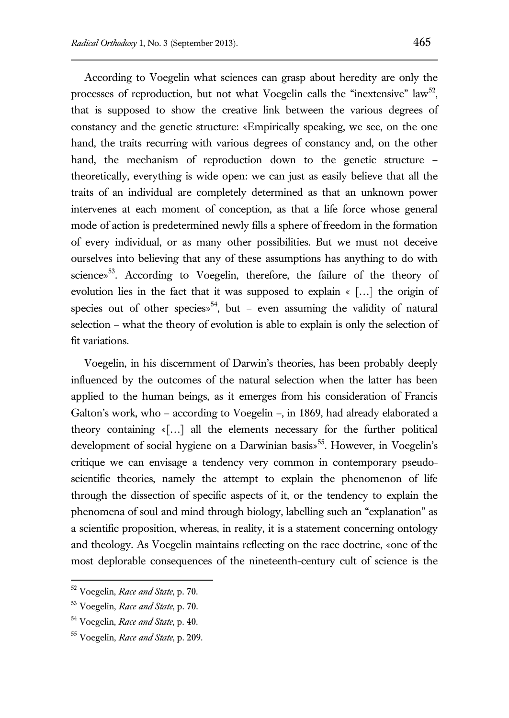According to Voegelin what sciences can grasp about heredity are only the processes of reproduction, but not what Voegelin calls the "inextensive"  $law^{52}$ , that is supposed to show the creative link between the various degrees of constancy and the genetic structure: «Empirically speaking, we see, on the one hand, the traits recurring with various degrees of constancy and, on the other hand, the mechanism of reproduction down to the genetic structure – theoretically, everything is wide open: we can just as easily believe that all the traits of an individual are completely determined as that an unknown power intervenes at each moment of conception, as that a life force whose general mode of action is predetermined newly fills a sphere of freedom in the formation of every individual, or as many other possibilities. But we must not deceive ourselves into believing that any of these assumptions has anything to do with science»<sup>53</sup>. According to Voegelin, therefore, the failure of the theory of evolution lies in the fact that it was supposed to explain « […] the origin of species out of other species»<sup>54</sup>, but – even assuming the validity of natural selection – what the theory of evolution is able to explain is only the selection of fit variations.

Voegelin, in his discernment of Darwin's theories, has been probably deeply influenced by the outcomes of the natural selection when the latter has been applied to the human beings, as it emerges from his consideration of Francis Galton's work, who – according to Voegelin –, in 1869, had already elaborated a theory containing «[…] all the elements necessary for the further political development of social hygiene on a Darwinian basis»<sup>55</sup>. However, in Voegelin's critique we can envisage a tendency very common in contemporary pseudoscientific theories, namely the attempt to explain the phenomenon of life through the dissection of specific aspects of it, or the tendency to explain the phenomena of soul and mind through biology, labelling such an "explanation" as a scientific proposition, whereas, in reality, it is a statement concerning ontology and theology. As Voegelin maintains reflecting on the race doctrine, «one of the most deplorable consequences of the nineteenth-century cult of science is the

<sup>52</sup> Voegelin, *Race and State*, p. 70.

<sup>53</sup> Voegelin, *Race and State*, p. 70.

<sup>54</sup> Voegelin, *Race and State*, p. 40.

<sup>55</sup> Voegelin, *Race and State*, p. 209.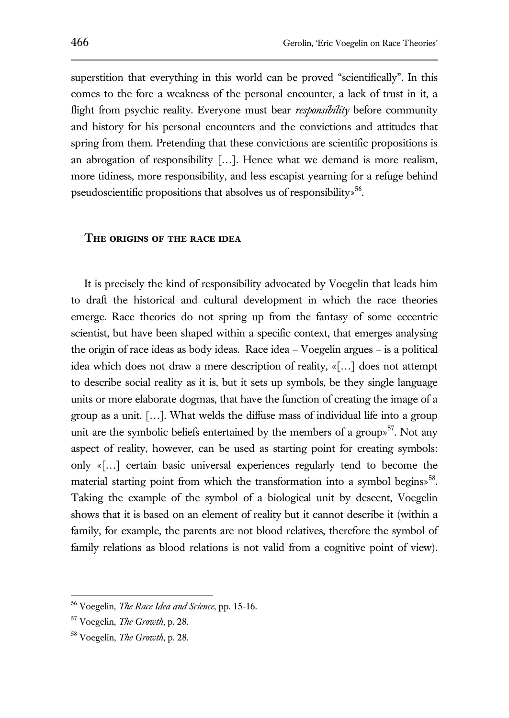superstition that everything in this world can be proved "scientifically". In this comes to the fore a weakness of the personal encounter, a lack of trust in it, a flight from psychic reality. Everyone must bear *responsibility* before community and history for his personal encounters and the convictions and attitudes that spring from them. Pretending that these convictions are scientific propositions is an abrogation of responsibility […]. Hence what we demand is more realism, more tidiness, more responsibility, and less escapist yearning for a refuge behind pseudoscientific propositions that absolves us of responsibility»<sup>56</sup>.

#### **The origins of the race idea**

It is precisely the kind of responsibility advocated by Voegelin that leads him to draft the historical and cultural development in which the race theories emerge. Race theories do not spring up from the fantasy of some eccentric scientist, but have been shaped within a specific context, that emerges analysing the origin of race ideas as body ideas. Race idea – Voegelin argues – is a political idea which does not draw a mere description of reality, «[…] does not attempt to describe social reality as it is, but it sets up symbols, be they single language units or more elaborate dogmas, that have the function of creating the image of a group as a unit. […]. What welds the diffuse mass of individual life into a group unit are the symbolic beliefs entertained by the members of a group<sup> $57$ </sup>. Not any aspect of reality, however, can be used as starting point for creating symbols: only «[…] certain basic universal experiences regularly tend to become the material starting point from which the transformation into a symbol begins $\frac{1}{2}$ <sup>58</sup>. Taking the example of the symbol of a biological unit by descent, Voegelin shows that it is based on an element of reality but it cannot describe it (within a family, for example, the parents are not blood relatives, therefore the symbol of family relations as blood relations is not valid from a cognitive point of view).

<sup>56</sup> Voegelin, *The Race Idea and Science*, pp. 15-16.

<sup>57</sup> Voegelin, *The Growth*, p. 28.

<sup>58</sup> Voegelin, *The Growth*, p. 28.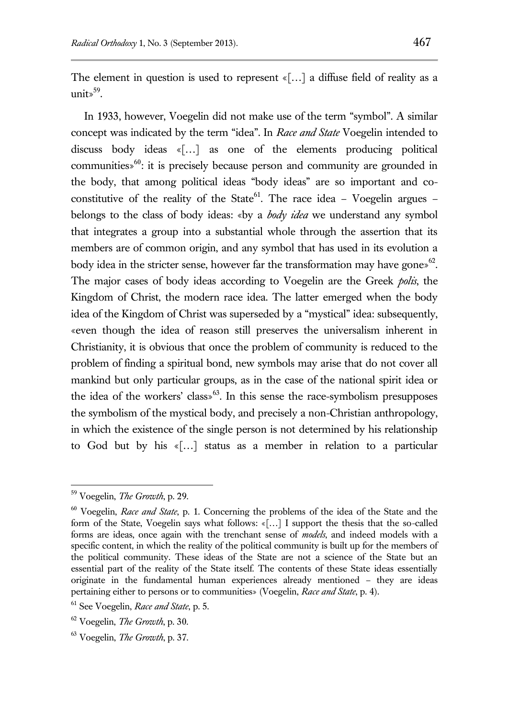The element in question is used to represent «[…] a diffuse field of reality as a unit» $^{59}$ .

In 1933, however, Voegelin did not make use of the term "symbol". A similar concept was indicated by the term "idea". In *Race and State* Voegelin intended to discuss body ideas «[…] as one of the elements producing political communities» $60$ : it is precisely because person and community are grounded in the body, that among political ideas "body ideas" are so important and coconstitutive of the reality of the State<sup>61</sup>. The race idea – Voegelin argues – belongs to the class of body ideas: «by a *body idea* we understand any symbol that integrates a group into a substantial whole through the assertion that its members are of common origin, and any symbol that has used in its evolution a body idea in the stricter sense, however far the transformation may have gones  $62$ . The major cases of body ideas according to Voegelin are the Greek *polis*, the Kingdom of Christ, the modern race idea. The latter emerged when the body idea of the Kingdom of Christ was superseded by a "mystical" idea: subsequently, «even though the idea of reason still preserves the universalism inherent in Christianity, it is obvious that once the problem of community is reduced to the problem of finding a spiritual bond, new symbols may arise that do not cover all mankind but only particular groups, as in the case of the national spirit idea or the idea of the workers' class<sup> $63$ </sup>. In this sense the race-symbolism presupposes the symbolism of the mystical body, and precisely a non-Christian anthropology, in which the existence of the single person is not determined by his relationship to God but by his «[…] status as a member in relation to a particular

<sup>59</sup> Voegelin, *The Growth*, p. 29.

<sup>60</sup> Voegelin, *Race and State*, p. 1. Concerning the problems of the idea of the State and the form of the State, Voegelin says what follows: «[…] I support the thesis that the so-called forms are ideas, once again with the trenchant sense of *models*, and indeed models with a specific content, in which the reality of the political community is built up for the members of the political community. These ideas of the State are not a science of the State but an essential part of the reality of the State itself. The contents of these State ideas essentially originate in the fundamental human experiences already mentioned – they are ideas pertaining either to persons or to communities» (Voegelin, *Race and State*, p. 4).

<sup>61</sup> See Voegelin, *Race and State*, p. 5.

<sup>62</sup> Voegelin, *The Growth*, p. 30.

<sup>63</sup> Voegelin, *The Growth*, p. 37.